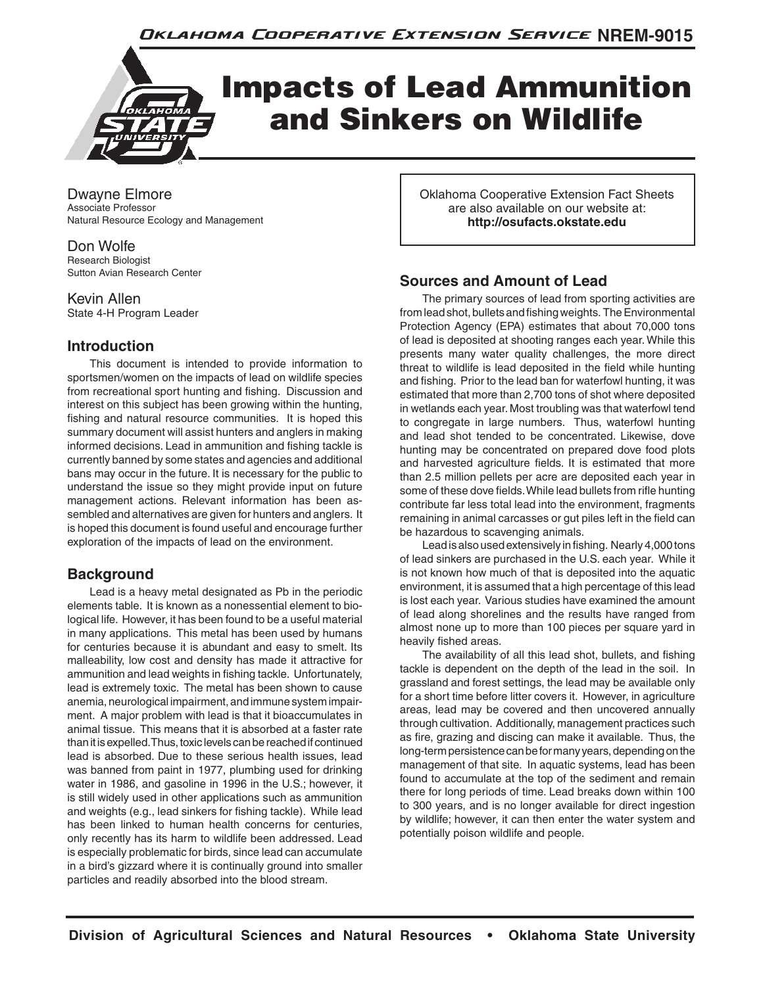

Dwayne Elmore Associate Professor Natural Resource Ecology and Management

Don Wolfe Research Biologist Sutton Avian Research Center

Kevin Allen State 4-H Program Leader

# **Introduction**

This document is intended to provide information to sportsmen/women on the impacts of lead on wildlife species from recreational sport hunting and fishing. Discussion and interest on this subject has been growing within the hunting, fishing and natural resource communities. It is hoped this summary document will assist hunters and anglers in making informed decisions. Lead in ammunition and fishing tackle is currently banned by some states and agencies and additional bans may occur in the future. It is necessary for the public to understand the issue so they might provide input on future management actions. Relevant information has been assembled and alternatives are given for hunters and anglers. It is hoped this document is found useful and encourage further exploration of the impacts of lead on the environment.

# **Background**

Lead is a heavy metal designated as Pb in the periodic elements table. It is known as a nonessential element to biological life. However, it has been found to be a useful material in many applications. This metal has been used by humans for centuries because it is abundant and easy to smelt. Its malleability, low cost and density has made it attractive for ammunition and lead weights in fishing tackle. Unfortunately, lead is extremely toxic. The metal has been shown to cause anemia, neurological impairment, and immune system impairment. A major problem with lead is that it bioaccumulates in animal tissue. This means that it is absorbed at a faster rate than it is expelled. Thus, toxic levels can be reached if continued lead is absorbed. Due to these serious health issues, lead was banned from paint in 1977, plumbing used for drinking water in 1986, and gasoline in 1996 in the U.S.; however, it is still widely used in other applications such as ammunition and weights (e.g., lead sinkers for fishing tackle). While lead has been linked to human health concerns for centuries, only recently has its harm to wildlife been addressed. Lead is especially problematic for birds, since lead can accumulate in a bird's gizzard where it is continually ground into smaller particles and readily absorbed into the blood stream.

Oklahoma Cooperative Extension Fact Sheets are also available on our website at: **http://osufacts.okstate.edu**

# **Sources and Amount of Lead**

The primary sources of lead from sporting activities are from lead shot, bullets and fishing weights. The Environmental Protection Agency (EPA) estimates that about 70,000 tons of lead is deposited at shooting ranges each year. While this presents many water quality challenges, the more direct threat to wildlife is lead deposited in the field while hunting and fishing. Prior to the lead ban for waterfowl hunting, it was estimated that more than 2,700 tons of shot where deposited in wetlands each year. Most troubling was that waterfowl tend to congregate in large numbers. Thus, waterfowl hunting and lead shot tended to be concentrated. Likewise, dove hunting may be concentrated on prepared dove food plots and harvested agriculture fields. It is estimated that more than 2.5 million pellets per acre are deposited each year in some of these dove fields. While lead bullets from rifle hunting contribute far less total lead into the environment, fragments remaining in animal carcasses or gut piles left in the field can be hazardous to scavenging animals.

Lead is also used extensively in fishing. Nearly 4,000 tons of lead sinkers are purchased in the U.S. each year. While it is not known how much of that is deposited into the aquatic environment, it is assumed that a high percentage of this lead is lost each year. Various studies have examined the amount of lead along shorelines and the results have ranged from almost none up to more than 100 pieces per square yard in heavily fished areas.

The availability of all this lead shot, bullets, and fishing tackle is dependent on the depth of the lead in the soil. In grassland and forest settings, the lead may be available only for a short time before litter covers it. However, in agriculture areas, lead may be covered and then uncovered annually through cultivation. Additionally, management practices such as fire, grazing and discing can make it available. Thus, the long-term persistence can be for many years, depending on the management of that site. In aquatic systems, lead has been found to accumulate at the top of the sediment and remain there for long periods of time. Lead breaks down within 100 to 300 years, and is no longer available for direct ingestion by wildlife; however, it can then enter the water system and potentially poison wildlife and people.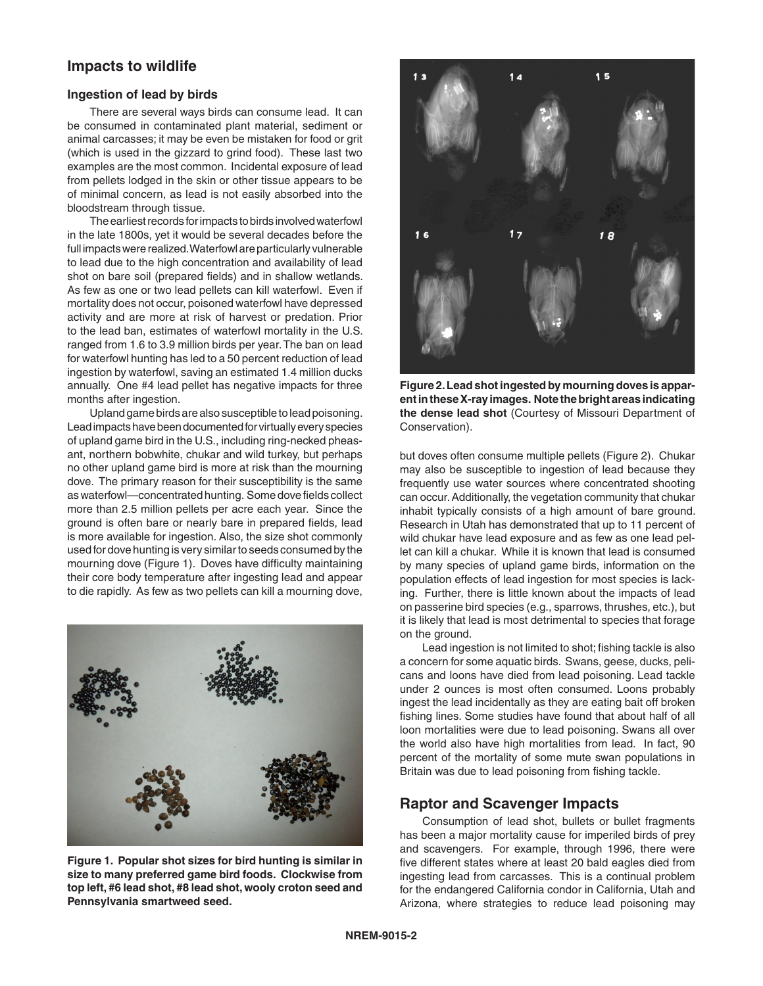## **Impacts to wildlife**

#### **Ingestion of lead by birds**

There are several ways birds can consume lead. It can be consumed in contaminated plant material, sediment or animal carcasses; it may be even be mistaken for food or grit (which is used in the gizzard to grind food). These last two examples are the most common. Incidental exposure of lead from pellets lodged in the skin or other tissue appears to be of minimal concern, as lead is not easily absorbed into the bloodstream through tissue.

The earliest records for impacts to birds involved waterfowl in the late 1800s, yet it would be several decades before the full impacts were realized. Waterfowl are particularly vulnerable to lead due to the high concentration and availability of lead shot on bare soil (prepared fields) and in shallow wetlands. As few as one or two lead pellets can kill waterfowl. Even if mortality does not occur, poisoned waterfowl have depressed activity and are more at risk of harvest or predation. Prior to the lead ban, estimates of waterfowl mortality in the U.S. ranged from 1.6 to 3.9 million birds per year. The ban on lead for waterfowl hunting has led to a 50 percent reduction of lead ingestion by waterfowl, saving an estimated 1.4 million ducks annually. One #4 lead pellet has negative impacts for three months after ingestion.

Upland game birds are also susceptible to lead poisoning. Lead impacts have been documented for virtually every species of upland game bird in the U.S., including ring-necked pheasant, northern bobwhite, chukar and wild turkey, but perhaps no other upland game bird is more at risk than the mourning dove. The primary reason for their susceptibility is the same as waterfowl—concentrated hunting. Some dove fields collect more than 2.5 million pellets per acre each year. Since the ground is often bare or nearly bare in prepared fields, lead is more available for ingestion. Also, the size shot commonly used for dove hunting is very similar to seeds consumed by the mourning dove (Figure 1). Doves have difficulty maintaining their core body temperature after ingesting lead and appear to die rapidly. As few as two pellets can kill a mourning dove,



**Figure 1. Popular shot sizes for bird hunting is similar in size to many preferred game bird foods. Clockwise from top left, #6 lead shot, #8 lead shot, wooly croton seed and Pennsylvania smartweed seed.**



**Figure 2. Lead shot ingested by mourning doves is apparent in these X-ray images. Note the bright areas indicating the dense lead shot** (Courtesy of Missouri Department of Conservation).

but doves often consume multiple pellets (Figure 2). Chukar may also be susceptible to ingestion of lead because they frequently use water sources where concentrated shooting can occur. Additionally, the vegetation community that chukar inhabit typically consists of a high amount of bare ground. Research in Utah has demonstrated that up to 11 percent of wild chukar have lead exposure and as few as one lead pellet can kill a chukar. While it is known that lead is consumed by many species of upland game birds, information on the population effects of lead ingestion for most species is lacking. Further, there is little known about the impacts of lead on passerine bird species (e.g., sparrows, thrushes, etc.), but it is likely that lead is most detrimental to species that forage on the ground.

Lead ingestion is not limited to shot; fishing tackle is also a concern for some aquatic birds. Swans, geese, ducks, pelicans and loons have died from lead poisoning. Lead tackle under 2 ounces is most often consumed. Loons probably ingest the lead incidentally as they are eating bait off broken fishing lines. Some studies have found that about half of all loon mortalities were due to lead poisoning. Swans all over the world also have high mortalities from lead. In fact, 90 percent of the mortality of some mute swan populations in Britain was due to lead poisoning from fishing tackle.

### **Raptor and Scavenger Impacts**

Consumption of lead shot, bullets or bullet fragments has been a major mortality cause for imperiled birds of prey and scavengers. For example, through 1996, there were five different states where at least 20 bald eagles died from ingesting lead from carcasses. This is a continual problem for the endangered California condor in California, Utah and Arizona, where strategies to reduce lead poisoning may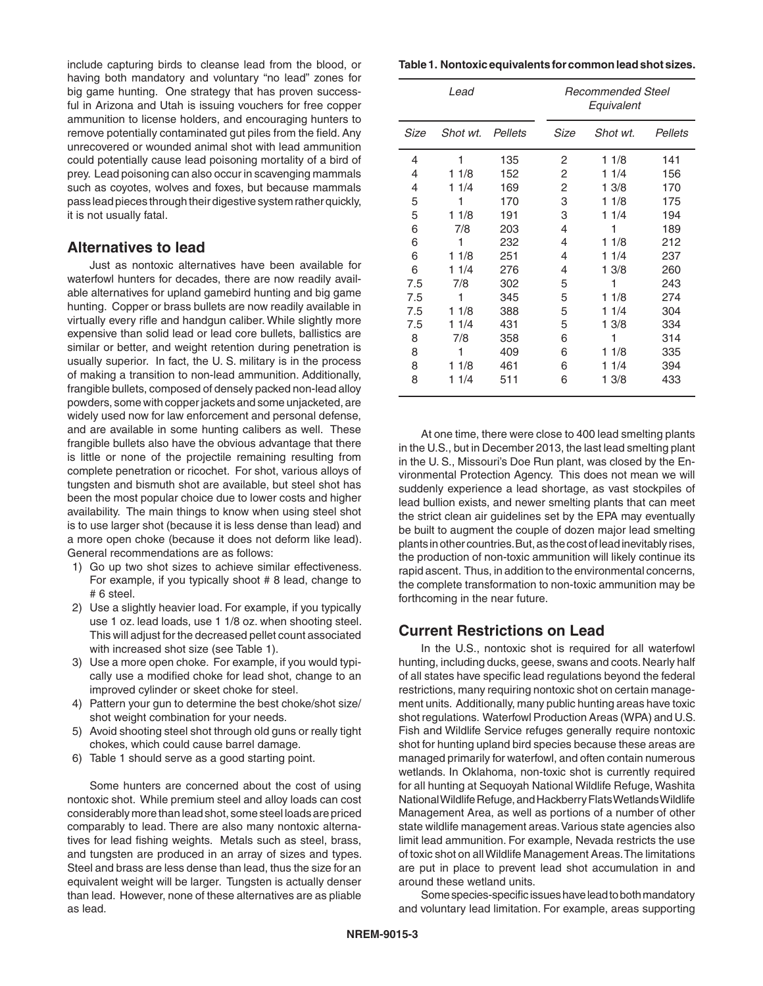include capturing birds to cleanse lead from the blood, or having both mandatory and voluntary "no lead" zones for big game hunting. One strategy that has proven successful in Arizona and Utah is issuing vouchers for free copper ammunition to license holders, and encouraging hunters to remove potentially contaminated gut piles from the field. Any unrecovered or wounded animal shot with lead ammunition could potentially cause lead poisoning mortality of a bird of prey. Lead poisoning can also occur in scavenging mammals such as coyotes, wolves and foxes, but because mammals pass lead pieces through their digestive system rather quickly, it is not usually fatal.

### **Alternatives to lead**

Just as nontoxic alternatives have been available for waterfowl hunters for decades, there are now readily available alternatives for upland gamebird hunting and big game hunting. Copper or brass bullets are now readily available in virtually every rifle and handgun caliber. While slightly more expensive than solid lead or lead core bullets, ballistics are similar or better, and weight retention during penetration is usually superior. In fact, the U. S. military is in the process of making a transition to non-lead ammunition. Additionally, frangible bullets, composed of densely packed non-lead alloy powders, some with copper jackets and some unjacketed, are widely used now for law enforcement and personal defense, and are available in some hunting calibers as well. These frangible bullets also have the obvious advantage that there is little or none of the projectile remaining resulting from complete penetration or ricochet. For shot, various alloys of tungsten and bismuth shot are available, but steel shot has been the most popular choice due to lower costs and higher availability. The main things to know when using steel shot is to use larger shot (because it is less dense than lead) and a more open choke (because it does not deform like lead). General recommendations are as follows:

- 1) Go up two shot sizes to achieve similar effectiveness. For example, if you typically shoot # 8 lead, change to # 6 steel.
- 2) Use a slightly heavier load. For example, if you typically use 1 oz. lead loads, use 1 1/8 oz. when shooting steel. This will adjust for the decreased pellet count associated with increased shot size (see Table 1).
- 3) Use a more open choke. For example, if you would typically use a modified choke for lead shot, change to an improved cylinder or skeet choke for steel.
- 4) Pattern your gun to determine the best choke/shot size/ shot weight combination for your needs.
- 5) Avoid shooting steel shot through old guns or really tight chokes, which could cause barrel damage.
- 6) Table 1 should serve as a good starting point.

Some hunters are concerned about the cost of using nontoxic shot. While premium steel and alloy loads can cost considerably more than lead shot, some steel loads are priced comparably to lead. There are also many nontoxic alternatives for lead fishing weights. Metals such as steel, brass, and tungsten are produced in an array of sizes and types. Steel and brass are less dense than lead, thus the size for an equivalent weight will be larger. Tungsten is actually denser than lead. However, none of these alternatives are as pliable as lead.

**Table 1. Nontoxic equivalents for common lead shot sizes.**

| Lead |          |         | Recommended Steel<br>Equivalent |          |         |
|------|----------|---------|---------------------------------|----------|---------|
| Size | Shot wt. | Pellets | Size                            | Shot wt. | Pellets |
| 4    | 1        | 135     | 2                               | 11/8     | 141     |
| 4    | 11/8     | 152     | 2                               | 1/4<br>1 | 156     |
| 4    | 11/4     | 169     | 2                               | 13/8     | 170     |
| 5    | 1        | 170     | 3                               | 11/8     | 175     |
| 5    | 11/8     | 191     | 3                               | 11/4     | 194     |
| 6    | 7/8      | 203     | 4                               | 1        | 189     |
| 6    | 1        | 232     | 4                               | 11/8     | 212     |
| 6    | 11/8     | 251     | 4                               | 11/4     | 237     |
| 6    | 11/4     | 276     | 4                               | 13/8     | 260     |
| 7.5  | 7/8      | 302     | 5                               | 1        | 243     |
| 7.5  | 1        | 345     | 5                               | 11/8     | 274     |
| 7.5  | 11/8     | 388     | 5                               | 11/4     | 304     |
| 7.5  | 11/4     | 431     | 5                               | 13/8     | 334     |
| 8    | 7/8      | 358     | 6                               | 1        | 314     |
| 8    | 1        | 409     | 6                               | 11/8     | 335     |
| 8    | 11/8     | 461     | 6                               | 11/4     | 394     |
| 8    | 11/4     | 511     | 6                               | 13/8     | 433     |

At one time, there were close to 400 lead smelting plants in the U.S., but in December 2013, the last lead smelting plant in the U. S., Missouri's Doe Run plant, was closed by the Environmental Protection Agency. This does not mean we will suddenly experience a lead shortage, as vast stockpiles of lead bullion exists, and newer smelting plants that can meet the strict clean air guidelines set by the EPA may eventually be built to augment the couple of dozen major lead smelting plants in other countries. But, as the cost of lead inevitably rises, the production of non-toxic ammunition will likely continue its rapid ascent. Thus, in addition to the environmental concerns, the complete transformation to non-toxic ammunition may be forthcoming in the near future.

## **Current Restrictions on Lead**

In the U.S., nontoxic shot is required for all waterfowl hunting, including ducks, geese, swans and coots. Nearly half of all states have specific lead regulations beyond the federal restrictions, many requiring nontoxic shot on certain management units. Additionally, many public hunting areas have toxic shot regulations. Waterfowl Production Areas (WPA) and U.S. Fish and Wildlife Service refuges generally require nontoxic shot for hunting upland bird species because these areas are managed primarily for waterfowl, and often contain numerous wetlands. In Oklahoma, non-toxic shot is currently required for all hunting at Sequoyah National Wildlife Refuge, Washita National Wildlife Refuge, and Hackberry Flats Wetlands Wildlife Management Area, as well as portions of a number of other state wildlife management areas. Various state agencies also limit lead ammunition. For example, Nevada restricts the use of toxic shot on all Wildlife Management Areas. The limitations are put in place to prevent lead shot accumulation in and around these wetland units.

Some species-specific issues have lead to both mandatory and voluntary lead limitation. For example, areas supporting